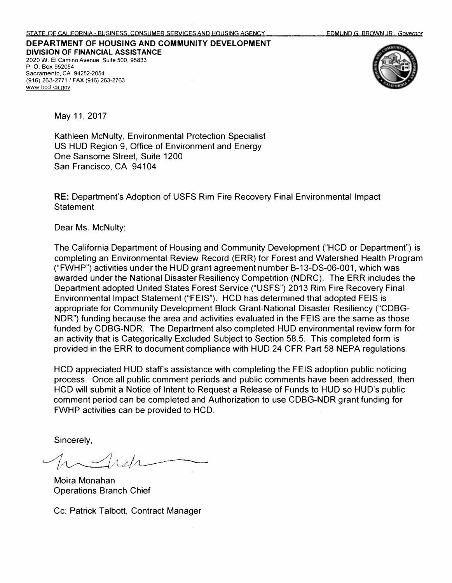**DEPARTMENT OF HOUSING AND COMMUNITY DEVELOPMENT DIVISION OF FINANCIAL ASSISTANCE**  2020 W. El Camino Avenue, Suite 500, 95833 P. 0. Box 952054 Sacramento, CA 94252-2054 <www.hcd.ca.gov> (916) 263-2771 / FAX (916) 263-2763



May 11, 2017

Kathleen McNulty, Environmental Protection Specialist US HUD Region 9, Office of Environment and Energy One Sansome Street, Suite 1200 San Francisco, CA 94104

RE: Department's Adoption of USFS Rim Fire Recovery Final Environmental Impact **Statement** 

Dear Ms. McNulty:

The California Department of Housing and Community Development ("HCD or Department") is completing an Environmental Review Record (ERR) for Forest and Watershed Health Program ("FWHP") activities under the HUD grant agreement number B-13-DS-06-001, which was awarded under the National Disaster Resiliency Competition (NDRC). The ERR includes the Department adopted United States Forest Service ("USFS") 2013 Rim Fire Recovery Final Environmental Impact Statement ("FEIS"). HCD has determined that adopted FEIS is appropriate for Community Development Block Grant-National Disaster Resiliency ("CDBG-NDR") funding because the area and activities evaluated in the FEIS are the same as those funded by CDBG-NDR. The Department also completed HUD environmental review form for an activity that is Categorically Excluded Subject to Section 58.5. This completed form is provided in the ERR to document compliance with HUD 24 CFR Part 58 NEPA regulations.

HCD appreciated HUD staff's assistance with completing the FEIS adoption public noticing process. Once all public comment periods and public comments have been addressed, then HCD will submit a Notice of Intent to Request a Release of Funds to HUD so HUD's public comment period can be completed and Authorization to use CDBG-NDR grant funding for FWHP activities can be provided to HCD.

Sincerely,

Moira Monahan Operations Branch Chief

Cc: Patrick Talbott, Contract Manager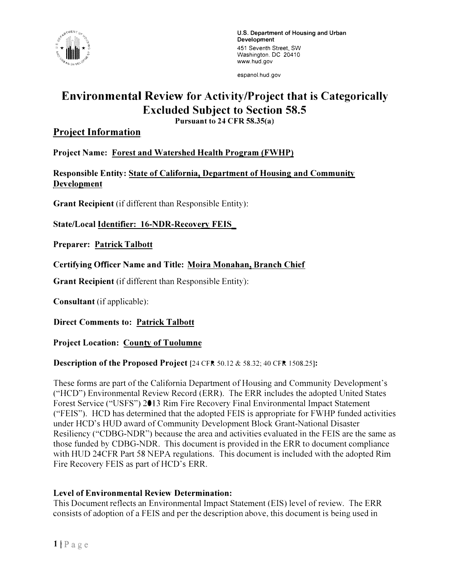

[espanol.hud.gov](https://espanol.hud.gov) 

# **Environmental Review for Activity/Project that is Categorically Excluded Subject to Section 58.5**

**Pursuant to 24 CFR 58.35(a)** 

## **Proiect Information**

**Project Name: Forest and Watershed Health Program (FWHP)** 

**Responsible Entity: State of California, Department of Housing and Community Development** 

**Grant Recipient** (if different than Responsible Entity):

**State/Local Identifier: 16-NDR-Recovery FEIS** 

**Preparer: Patrick Talbott** 

**Certifying Officer Name and Title: Moira Monahan, Branch Chief** 

**Grant Recipient** (if different than Responsible Entity):

**Consultant** (if applicable):

**Direct Comments to: Patrick Talbott** 

## **Project Location: County of Tuolumne**

## **Description of the Proposed Project** [24 CFR 50.12 & 58.32; 40 CFR 1508.25]:

These forms are part of the California Department of Housing and Community Development's ("HCD") Environmental Review Record (ERR). The ERR includes the adopted United States Forest Service ("USFS") 2013 Rim Fire Recovery Final Environmental Impact Statement ("FEIS"). HCD has determined that the adopted FEIS is appropriate for FWHP funded activities under HCD's HUD award of Community Development Block Grant-National Disaster Resiliency ("CDBG-NDR'") because the area and activities evaluated in the FEIS are the same as those funded by CDBG-NDR. This document is provided in the ERR to document compliance with HUD 24CFR Part 58 NEPA regulations. This document is included with the adopted Rim Fire Recovery FEIS as part of HCD's ERR.

## **Level of Environmental Review Determination:**

This Document reflects an Environmental Impact Statement (EIS) level of review. The ERR consists of adoption of a FEIS and per the description above, this document is being used in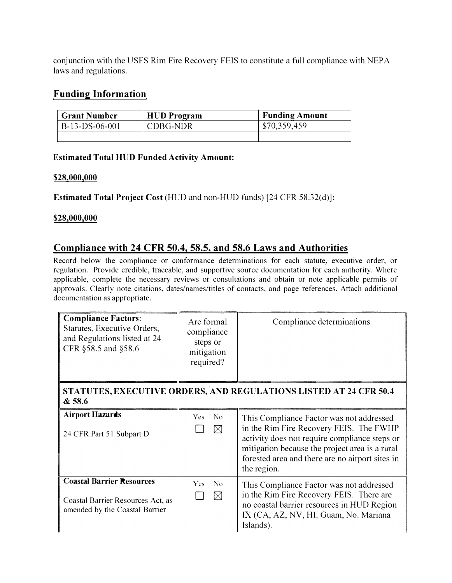**conjunction with the USFS Rim Fire Recovery FEIS to constitute a full compliance with NEPA laws and regulations.** 

## **Funding Information**

| <b>Grant Number</b> | <b>HUD</b> Program | <b>Funding Amount</b> |
|---------------------|--------------------|-----------------------|
| B-13-DS-06-001      | CDBG-NDR           | \$70,359,459          |
|                     |                    |                       |

#### **Estimated Total HUD Funded Activity Amount:**

#### **\$28,000,000**

**Estimated Total Project Cost (HUD and non-HUD funds) [24 CFR 58.32(d)]:** 

#### **\$28,000,000**

# **Compliance with 24 CFR 50.4, 58.5, and 58.6 Laws and Authorities**

**Record below the compliance or conformance determinations for each statute, executive order, or regulation. Provide credible, traceable, and supportive source documentation for each authority. Where applicable, complete the necessary reviews or consultations and obtain or note applicable permits of approvals. Clearly note citations, dates/names/titles of contacts, and page references. Attach additional documentation as appropriate.** 

| <b>Compliance Factors:</b><br>Statutes, Executive Orders,<br>and Regulations listed at 24<br>CFR §58.5 and §58.6 | Are formal<br>compliance<br>steps or<br>mitigation<br>required? | Compliance determinations                                                                                                                                                                                                                                |
|------------------------------------------------------------------------------------------------------------------|-----------------------------------------------------------------|----------------------------------------------------------------------------------------------------------------------------------------------------------------------------------------------------------------------------------------------------------|
| & 58.6                                                                                                           |                                                                 | <b>STATUTES, EXECUTIVE ORDERS, AND REGULATIONS LISTED AT 24 CFR 50.4</b>                                                                                                                                                                                 |
| <b>Airport Hazards</b><br>24 CFR Part 51 Subpart D                                                               | No<br><b>Yes</b><br>$\boxtimes$                                 | This Compliance Factor was not addressed<br>in the Rim Fire Recovery FEIS. The FWHP<br>activity does not require compliance steps or<br>mitigation because the project area is a rural<br>forested area and there are no airport sites in<br>the region. |
| <b>Coastal Barrier Resources</b><br>Coastal Barrier Resources Act, as<br>amended by the Coastal Barrier          | Yes<br>No<br>$\boxtimes$                                        | This Compliance Factor was not addressed<br>in the Rim Fire Recovery FEIS. There are<br>no coastal barrier resources in HUD Region<br>IX (CA, AZ, NV, HI, Guam, No. Mariana<br>Islands).                                                                 |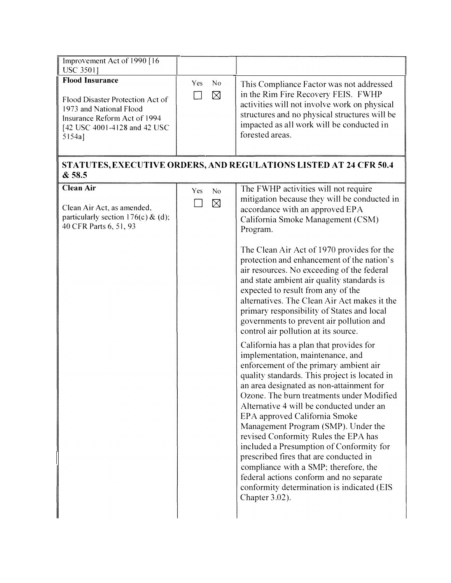| Improvement Act of 1990 [16]<br><b>USC 35011</b>                                                                                                                |                                 |                                                                                                                                                                                                                                                                                                                                                                                                                                                                                                                                                                                                                                                                                                                                                                                                                                                                                                                                                                                                                                                                                                                                                                                                                                                                   |
|-----------------------------------------------------------------------------------------------------------------------------------------------------------------|---------------------------------|-------------------------------------------------------------------------------------------------------------------------------------------------------------------------------------------------------------------------------------------------------------------------------------------------------------------------------------------------------------------------------------------------------------------------------------------------------------------------------------------------------------------------------------------------------------------------------------------------------------------------------------------------------------------------------------------------------------------------------------------------------------------------------------------------------------------------------------------------------------------------------------------------------------------------------------------------------------------------------------------------------------------------------------------------------------------------------------------------------------------------------------------------------------------------------------------------------------------------------------------------------------------|
| <b>Flood Insurance</b><br>Flood Disaster Protection Act of<br>1973 and National Flood<br>Insurance Reform Act of 1994<br>[42 USC 4001-4128 and 42 USC<br>5154a] | No<br><b>Yes</b><br>$\boxtimes$ | This Compliance Factor was not addressed<br>in the Rim Fire Recovery FEIS. FWHP<br>activities will not involve work on physical<br>structures and no physical structures will be<br>impacted as all work will be conducted in<br>forested areas.                                                                                                                                                                                                                                                                                                                                                                                                                                                                                                                                                                                                                                                                                                                                                                                                                                                                                                                                                                                                                  |
| &58.5                                                                                                                                                           |                                 | STATUTES, EXECUTIVE ORDERS, AND REGULATIONS LISTED AT 24 CFR 50.4                                                                                                                                                                                                                                                                                                                                                                                                                                                                                                                                                                                                                                                                                                                                                                                                                                                                                                                                                                                                                                                                                                                                                                                                 |
| <b>Clean Air</b><br>Clean Air Act, as amended,<br>particularly section $176(c)$ & (d);<br>40 CFR Parts 6, 51, 93                                                | No<br>Yes<br>$\boxtimes$        | The FWHP activities will not require<br>mitigation because they will be conducted in<br>accordance with an approved EPA<br>California Smoke Management (CSM)<br>Program.<br>The Clean Air Act of 1970 provides for the<br>protection and enhancement of the nation's<br>air resources. No exceeding of the federal<br>and state ambient air quality standards is<br>expected to result from any of the<br>alternatives. The Clean Air Act makes it the<br>primary responsibility of States and local<br>governments to prevent air pollution and<br>control air pollution at its source.<br>California has a plan that provides for<br>implementation, maintenance, and<br>enforcement of the primary ambient air<br>quality standards. This project is located in<br>an area designated as non-attainment for<br>Ozone. The burn treatments under Modified<br>Alternative 4 will be conducted under an<br>EPA approved California Smoke<br>Management Program (SMP). Under the<br>revised Conformity Rules the EPA has<br>included a Presumption of Conformity for<br>prescribed fires that are conducted in<br>compliance with a SMP; therefore, the<br>federal actions conform and no separate<br>conformity determination is indicated (EIS<br>Chapter 3.02). |
|                                                                                                                                                                 |                                 |                                                                                                                                                                                                                                                                                                                                                                                                                                                                                                                                                                                                                                                                                                                                                                                                                                                                                                                                                                                                                                                                                                                                                                                                                                                                   |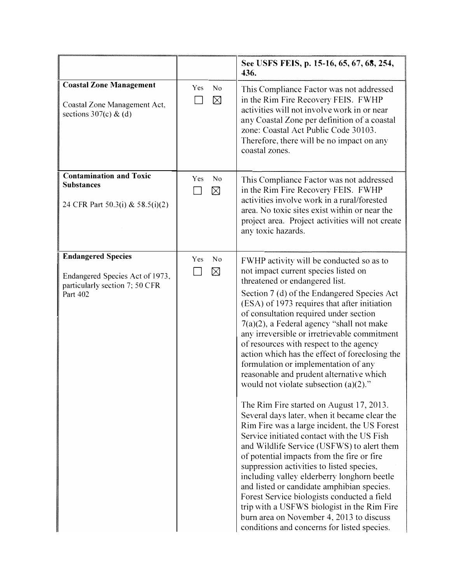|                                                                                                            |                                                   | See USFS FEIS, p. 15-16, 65, 67, 68, 254,<br>436.                                                                                                                                                                                                                                                                                                                                                                                                                                                                                                                                                                                                                                                                                                                                                                                                                                                                                                                                                                                                                                                                                                                                                                 |
|------------------------------------------------------------------------------------------------------------|---------------------------------------------------|-------------------------------------------------------------------------------------------------------------------------------------------------------------------------------------------------------------------------------------------------------------------------------------------------------------------------------------------------------------------------------------------------------------------------------------------------------------------------------------------------------------------------------------------------------------------------------------------------------------------------------------------------------------------------------------------------------------------------------------------------------------------------------------------------------------------------------------------------------------------------------------------------------------------------------------------------------------------------------------------------------------------------------------------------------------------------------------------------------------------------------------------------------------------------------------------------------------------|
| <b>Coastal Zone Management</b><br>Coastal Zone Management Act,<br>sections $307(c)$ & (d)                  | Yes<br>$\overline{N}$ <sup>O</sup><br>$\boxtimes$ | This Compliance Factor was not addressed<br>in the Rim Fire Recovery FEIS. FWHP<br>activities will not involve work in or near<br>any Coastal Zone per definition of a coastal<br>zone: Coastal Act Public Code 30103.<br>Therefore, there will be no impact on any<br>coastal zones.                                                                                                                                                                                                                                                                                                                                                                                                                                                                                                                                                                                                                                                                                                                                                                                                                                                                                                                             |
| <b>Contamination and Toxic</b><br><b>Substances</b><br>24 CFR Part 50.3(i) & 58.5(i)(2)                    | Yes<br>No<br>$\boxtimes$                          | This Compliance Factor was not addressed<br>in the Rim Fire Recovery FEIS. FWHP<br>activities involve work in a rural/forested<br>area. No toxic sites exist within or near the<br>project area. Project activities will not create<br>any toxic hazards.                                                                                                                                                                                                                                                                                                                                                                                                                                                                                                                                                                                                                                                                                                                                                                                                                                                                                                                                                         |
| <b>Endangered Species</b><br>Endangered Species Act of 1973,<br>particularly section 7; 50 CFR<br>Part 402 | Yes<br>No<br>$\boxtimes$                          | FWHP activity will be conducted so as to<br>not impact current species listed on<br>threatened or endangered list.<br>Section 7 (d) of the Endangered Species Act<br>(ESA) of 1973 requires that after initiation<br>of consultation required under section<br>$7(a)(2)$ , a Federal agency "shall not make<br>any irreversible or irretrievable commitment<br>of resources with respect to the agency<br>action which has the effect of foreclosing the<br>formulation or implementation of any<br>reasonable and prudent alternative which<br>would not violate subsection $(a)(2)$ ."<br>The Rim Fire started on August 17, 2013.<br>Several days later, when it became clear the<br>Rim Fire was a large incident, the US Forest<br>Service initiated contact with the US Fish<br>and Wildlife Service (USFWS) to alert them<br>of potential impacts from the fire or fire<br>suppression activities to listed species,<br>including valley elderberry longhorn beetle<br>and listed or candidate amphibian species.<br>Forest Service biologists conducted a field<br>trip with a USFWS biologist in the Rim Fire<br>burn area on November 4, 2013 to discuss<br>conditions and concerns for listed species. |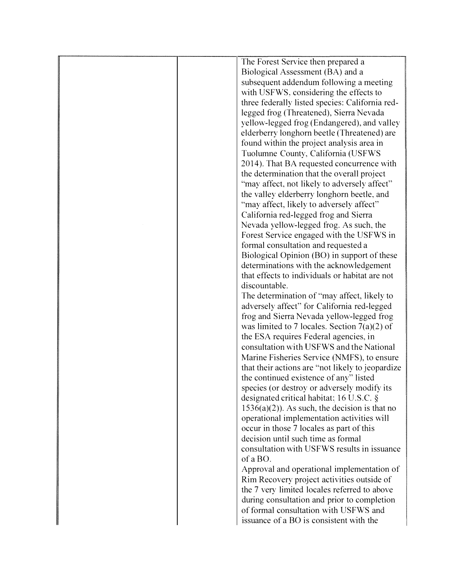|  | The Forest Service then prepared a               |
|--|--------------------------------------------------|
|  | Biological Assessment (BA) and a                 |
|  | subsequent addendum following a meeting          |
|  | with USFWS, considering the effects to           |
|  | three federally listed species: California red-  |
|  | legged frog (Threatened), Sierra Nevada          |
|  |                                                  |
|  | yellow-legged frog (Endangered), and valley      |
|  | elderberry longhorn beetle (Threatened) are      |
|  | found within the project analysis area in        |
|  | Tuolumne County, California (USFWS               |
|  | 2014). That BA requested concurrence with        |
|  | the determination that the overall project       |
|  | "may affect, not likely to adversely affect"     |
|  | the valley elderberry longhorn beetle, and       |
|  | "may affect, likely to adversely affect"         |
|  | California red-legged frog and Sierra            |
|  | Nevada yellow-legged frog. As such, the          |
|  | Forest Service engaged with the USFWS in         |
|  | formal consultation and requested a              |
|  | Biological Opinion (BO) in support of these      |
|  | determinations with the acknowledgement          |
|  | that effects to individuals or habitat are not   |
|  | discountable.                                    |
|  | The determination of "may affect, likely to      |
|  | adversely affect" for California red-legged      |
|  | frog and Sierra Nevada yellow-legged frog        |
|  | was limited to 7 locales. Section $7(a)(2)$ of   |
|  | the ESA requires Federal agencies, in            |
|  | consultation with USFWS and the National         |
|  | Marine Fisheries Service (NMFS), to ensure       |
|  | that their actions are "not likely to jeopardize |
|  | the continued existence of any" listed           |
|  | species (or destroy or adversely modify its      |
|  | designated critical habitat; 16 U.S.C. §         |
|  | $1536(a)(2)$ ). As such, the decision is that no |
|  | operational implementation activities will       |
|  | occur in those 7 locales as part of this         |
|  | decision until such time as formal               |
|  | consultation with USFWS results in issuance      |
|  | of a BO.                                         |
|  | Approval and operational implementation of       |
|  | Rim Recovery project activities outside of       |
|  | the 7 very limited locales referred to above     |
|  | during consultation and prior to completion.     |
|  | of formal consultation with USFWS and            |
|  |                                                  |
|  | issuance of a BO is consistent with the          |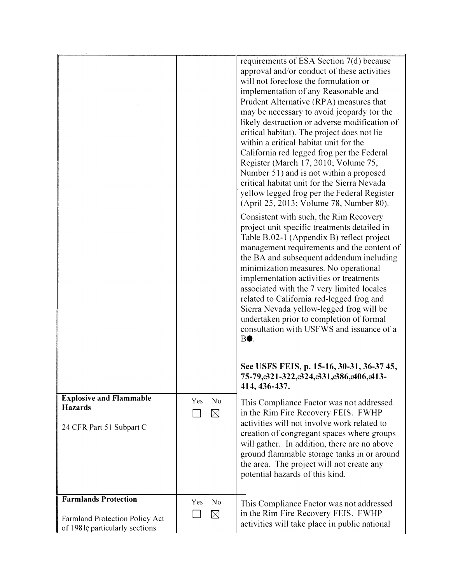|                                                                                                  |     |                   | requirements of ESA Section 7(d) because<br>approval and/or conduct of these activities<br>will not foreclose the formulation or<br>implementation of any Reasonable and<br>Prudent Alternative (RPA) measures that<br>may be necessary to avoid jeopardy (or the<br>likely destruction or adverse modification of<br>critical habitat). The project does not lie<br>within a critical habitat unit for the<br>California red legged frog per the Federal<br>Register (March 17, 2010; Volume 75,<br>Number 51) and is not within a proposed<br>critical habitat unit for the Sierra Nevada<br>yellow legged frog per the Federal Register<br>(April 25, 2013; Volume 78, Number 80).<br>Consistent with such, the Rim Recovery<br>project unit specific treatments detailed in<br>Table B.02-1 (Appendix B) reflect project<br>management requirements and the content of<br>the BA and subsequent addendum including<br>minimization measures. No operational<br>implementation activities or treatments<br>associated with the 7 very limited locales<br>related to California red-legged frog and<br>Sierra Nevada yellow-legged frog will be<br>undertaken prior to completion of formal<br>consultation with USFWS and issuance of a<br>BO. |
|--------------------------------------------------------------------------------------------------|-----|-------------------|---------------------------------------------------------------------------------------------------------------------------------------------------------------------------------------------------------------------------------------------------------------------------------------------------------------------------------------------------------------------------------------------------------------------------------------------------------------------------------------------------------------------------------------------------------------------------------------------------------------------------------------------------------------------------------------------------------------------------------------------------------------------------------------------------------------------------------------------------------------------------------------------------------------------------------------------------------------------------------------------------------------------------------------------------------------------------------------------------------------------------------------------------------------------------------------------------------------------------------------------------|
|                                                                                                  |     |                   | See USFS FEIS, p. 15-16, 30-31, 36-37 45,<br>75-79, 321-322, 324, 331, 386, 406, 413-<br>414, 436-437.                                                                                                                                                                                                                                                                                                                                                                                                                                                                                                                                                                                                                                                                                                                                                                                                                                                                                                                                                                                                                                                                                                                                            |
| <b>Explosive and Flammable</b><br><b>Hazards</b><br>24 CFR Part 51 Subpart C                     | Yes | No<br>⊠           | This Compliance Factor was not addressed<br>in the Rim Fire Recovery FEIS. FWHP<br>activities will not involve work related to<br>creation of congregant spaces where groups<br>will gather. In addition, there are no above<br>ground flammable storage tanks in or around<br>the area. The project will not create any<br>potential hazards of this kind.                                                                                                                                                                                                                                                                                                                                                                                                                                                                                                                                                                                                                                                                                                                                                                                                                                                                                       |
| <b>Farmlands Protection</b><br>Farmland Protection Policy Act<br>of 198 le particularly sections | Yes | No<br>$\boxtimes$ | This Compliance Factor was not addressed<br>in the Rim Fire Recovery FEIS. FWHP<br>activities will take place in public national                                                                                                                                                                                                                                                                                                                                                                                                                                                                                                                                                                                                                                                                                                                                                                                                                                                                                                                                                                                                                                                                                                                  |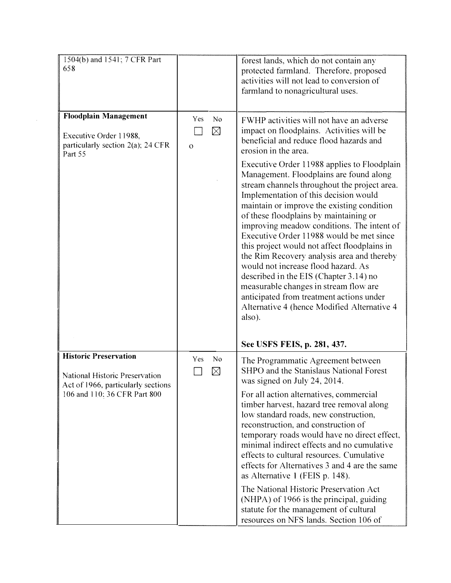| 1504(b) and 1541; 7 CFR Part<br>658                                                                    |                                                      | forest lands, which do not contain any<br>protected farmland. Therefore, proposed<br>activities will not lead to conversion of<br>farmland to nonagricultural uses.                                                                                                                                                                                                                                                                                                                                                                                                                                                                                                                                                                                                                                                                                        |
|--------------------------------------------------------------------------------------------------------|------------------------------------------------------|------------------------------------------------------------------------------------------------------------------------------------------------------------------------------------------------------------------------------------------------------------------------------------------------------------------------------------------------------------------------------------------------------------------------------------------------------------------------------------------------------------------------------------------------------------------------------------------------------------------------------------------------------------------------------------------------------------------------------------------------------------------------------------------------------------------------------------------------------------|
| <b>Floodplain Management</b><br>Executive Order 11988,<br>particularly section 2(a); 24 CFR<br>Part 55 | N <sub>o</sub><br>Yes<br>$\boxtimes$<br>$\mathbf{O}$ | FWHP activities will not have an adverse<br>impact on floodplains. Activities will be<br>beneficial and reduce flood hazards and<br>erosion in the area.<br>Executive Order 11988 applies to Floodplain<br>Management. Floodplains are found along<br>stream channels throughout the project area.<br>Implementation of this decision would<br>maintain or improve the existing condition<br>of these floodplains by maintaining or<br>improving meadow conditions. The intent of<br>Executive Order 11988 would be met since<br>this project would not affect floodplains in<br>the Rim Recovery analysis area and thereby<br>would not increase flood hazard. As<br>described in the EIS (Chapter 3.14) no<br>measurable changes in stream flow are<br>anticipated from treatment actions under<br>Alternative 4 (hence Modified Alternative 4<br>also). |
|                                                                                                        |                                                      | See USFS FEIS, p. 281, 437.                                                                                                                                                                                                                                                                                                                                                                                                                                                                                                                                                                                                                                                                                                                                                                                                                                |
| <b>Historic Preservation</b><br>National Historic Preservation<br>Act of 1966, particularly sections   | <b>Yes</b><br>N <sub>0</sub><br>$\boxtimes$          | The Programmatic Agreement between<br>SHPO and the Stanislaus National Forest<br>was signed on July 24, 2014.                                                                                                                                                                                                                                                                                                                                                                                                                                                                                                                                                                                                                                                                                                                                              |
| 106 and 110; 36 CFR Part 800                                                                           |                                                      | For all action alternatives, commercial<br>timber harvest, hazard tree removal along<br>low standard roads, new construction,<br>reconstruction, and construction of<br>temporary roads would have no direct effect,<br>minimal indirect effects and no cumulative<br>effects to cultural resources. Cumulative<br>effects for Alternatives 3 and 4 are the same<br>as Alternative 1 (FEIS p. 148).                                                                                                                                                                                                                                                                                                                                                                                                                                                        |
|                                                                                                        |                                                      | The National Historic Preservation Act<br>(NHPA) of 1966 is the principal, guiding<br>statute for the management of cultural<br>resources on NFS lands. Section 106 of                                                                                                                                                                                                                                                                                                                                                                                                                                                                                                                                                                                                                                                                                     |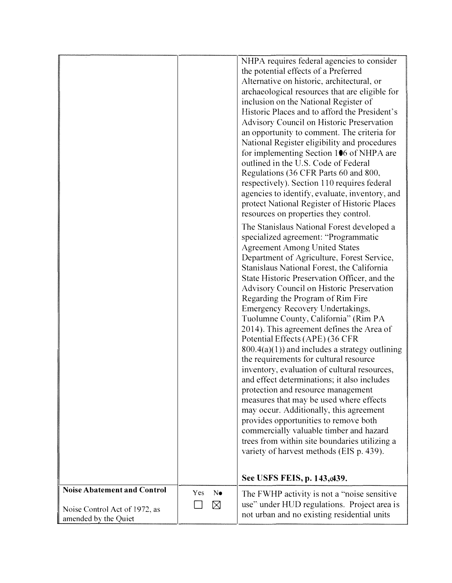|                                                                                             |     |         | NHPA requires federal agencies to consider<br>the potential effects of a Preferred<br>Alternative on historic, architectural, or<br>archaeological resources that are eligible for<br>inclusion on the National Register of<br>Historic Places and to afford the President's<br>Advisory Council on Historic Preservation<br>an opportunity to comment. The criteria for<br>National Register eligibility and procedures<br>for implementing Section 1●6 of NHPA are<br>outlined in the U.S. Code of Federal<br>Regulations (36 CFR Parts 60 and 800,<br>respectively). Section 110 requires federal<br>agencies to identify, evaluate, inventory, and<br>protect National Register of Historic Places<br>resources on properties they control.<br>The Stanislaus National Forest developed a<br>specialized agreement: "Programmatic<br><b>Agreement Among United States</b><br>Department of Agriculture, Forest Service,<br>Stanislaus National Forest, the California<br>State Historic Preservation Officer, and the<br><b>Advisory Council on Historic Preservation</b><br>Regarding the Program of Rim Fire<br>Emergency Recovery Undertakings,<br>Tuolumne County, California" (Rim PA<br>2014). This agreement defines the Area of<br>Potential Effects (APE) (36 CFR<br>$800.4(a)(1)$ and includes a strategy outlining<br>the requirements for cultural resource<br>inventory, evaluation of cultural resources,<br>and effect determinations; it also includes<br>protection and resource management<br>measures that may be used where effects<br>may occur. Additionally, this agreement |
|---------------------------------------------------------------------------------------------|-----|---------|--------------------------------------------------------------------------------------------------------------------------------------------------------------------------------------------------------------------------------------------------------------------------------------------------------------------------------------------------------------------------------------------------------------------------------------------------------------------------------------------------------------------------------------------------------------------------------------------------------------------------------------------------------------------------------------------------------------------------------------------------------------------------------------------------------------------------------------------------------------------------------------------------------------------------------------------------------------------------------------------------------------------------------------------------------------------------------------------------------------------------------------------------------------------------------------------------------------------------------------------------------------------------------------------------------------------------------------------------------------------------------------------------------------------------------------------------------------------------------------------------------------------------------------------------------------------------------------------------------|
|                                                                                             |     |         | provides opportunities to remove both<br>commercially valuable timber and hazard<br>trees from within site boundaries utilizing a<br>variety of harvest methods (EIS p. 439).                                                                                                                                                                                                                                                                                                                                                                                                                                                                                                                                                                                                                                                                                                                                                                                                                                                                                                                                                                                                                                                                                                                                                                                                                                                                                                                                                                                                                          |
|                                                                                             |     |         | See USFS FEIS, p. 143, e439.                                                                                                                                                                                                                                                                                                                                                                                                                                                                                                                                                                                                                                                                                                                                                                                                                                                                                                                                                                                                                                                                                                                                                                                                                                                                                                                                                                                                                                                                                                                                                                           |
| <b>Noise Abatement and Control</b><br>Noise Control Act of 1972, as<br>amended by the Quiet | Yes | N.<br>⊠ | The FWHP activity is not a "noise sensitive"<br>use" under HUD regulations. Project area is<br>not urban and no existing residential units                                                                                                                                                                                                                                                                                                                                                                                                                                                                                                                                                                                                                                                                                                                                                                                                                                                                                                                                                                                                                                                                                                                                                                                                                                                                                                                                                                                                                                                             |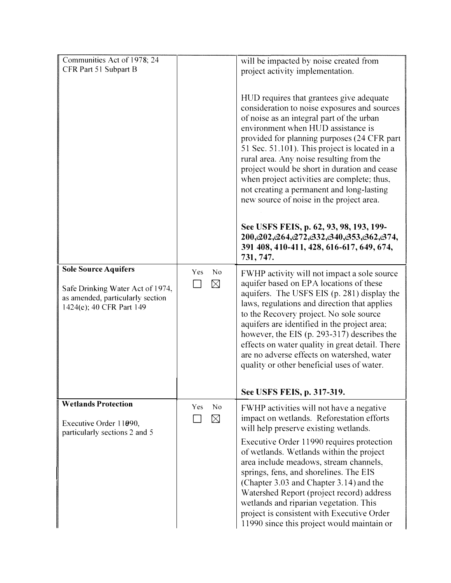| Communities Act of 1978; 24                                                                      |                                      | will be impacted by noise created from                                                                                                                                                                                                                                                                                                                                                                                                                                                                                                                     |
|--------------------------------------------------------------------------------------------------|--------------------------------------|------------------------------------------------------------------------------------------------------------------------------------------------------------------------------------------------------------------------------------------------------------------------------------------------------------------------------------------------------------------------------------------------------------------------------------------------------------------------------------------------------------------------------------------------------------|
| CFR Part 51 Subpart B                                                                            |                                      | project activity implementation.                                                                                                                                                                                                                                                                                                                                                                                                                                                                                                                           |
|                                                                                                  |                                      | HUD requires that grantees give adequate<br>consideration to noise exposures and sources<br>of noise as an integral part of the urban<br>environment when HUD assistance is<br>provided for planning purposes (24 CFR part<br>51 Sec. 51.101). This project is located in a<br>rural area. Any noise resulting from the<br>project would be short in duration and cease<br>when project activities are complete; thus,<br>not creating a permanent and long-lasting<br>new source of noise in the project area.<br>See USFS FEIS, p. 62, 93, 98, 193, 199- |
|                                                                                                  |                                      | 200, e22, e264, e272, e32, e340, e353, e362, e374,<br>391 408, 410-411, 428, 616-617, 649, 674,<br>731, 747.                                                                                                                                                                                                                                                                                                                                                                                                                                               |
| <b>Sole Source Aquifers</b>                                                                      | N <sub>0</sub><br>Yes                | FWHP activity will not impact a sole source                                                                                                                                                                                                                                                                                                                                                                                                                                                                                                                |
| Safe Drinking Water Act of 1974,<br>as amended, particularly section<br>1424(e); 40 CFR Part 149 | $\boxtimes$                          | aquifer based on EPA locations of these<br>aquifers. The USFS EIS (p. 281) display the<br>laws, regulations and direction that applies<br>to the Recovery project. No sole source<br>aquifers are identified in the project area;<br>however, the EIS (p. 293-317) describes the<br>effects on water quality in great detail. There<br>are no adverse effects on watershed, water<br>quality or other beneficial uses of water.                                                                                                                            |
|                                                                                                  |                                      | See USFS FEIS, p. 317-319.                                                                                                                                                                                                                                                                                                                                                                                                                                                                                                                                 |
| <b>Wetlands Protection</b><br>Executive Order 11090,<br>particularly sections 2 and 5            | N <sub>0</sub><br>Yes<br>$\boxtimes$ | FWHP activities will not have a negative<br>impact on wetlands. Reforestation efforts<br>will help preserve existing wetlands.<br>Executive Order 11990 requires protection                                                                                                                                                                                                                                                                                                                                                                                |
|                                                                                                  |                                      | of wetlands. Wetlands within the project<br>area include meadows, stream channels,<br>springs, fens, and shorelines. The EIS<br>(Chapter 3.03 and Chapter 3.14) and the<br>Watershed Report (project record) address<br>wetlands and riparian vegetation. This<br>project is consistent with Executive Order<br>11990 since this project would maintain or                                                                                                                                                                                                 |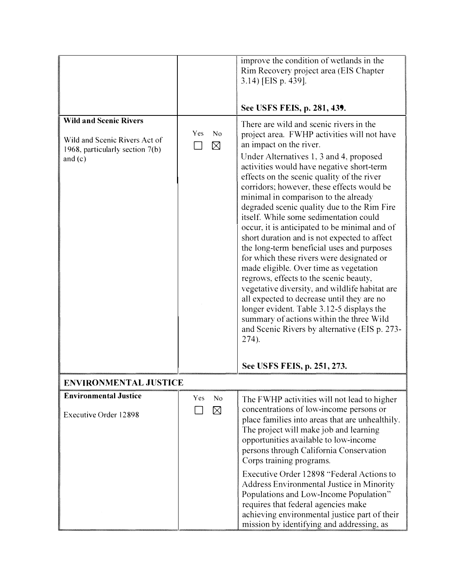|                                                                                                                |                          | improve the condition of wetlands in the<br>Rim Recovery project area (EIS Chapter<br>3.14) [EIS p. 439].<br>See USFS FEIS, p. 281, 439.                                                                                                                                                                                                                                                                                                                                                                                                                                                                                                                                                                                                                                                                                                                                                                                                                                  |
|----------------------------------------------------------------------------------------------------------------|--------------------------|---------------------------------------------------------------------------------------------------------------------------------------------------------------------------------------------------------------------------------------------------------------------------------------------------------------------------------------------------------------------------------------------------------------------------------------------------------------------------------------------------------------------------------------------------------------------------------------------------------------------------------------------------------------------------------------------------------------------------------------------------------------------------------------------------------------------------------------------------------------------------------------------------------------------------------------------------------------------------|
| <b>Wild and Scenic Rivers</b><br>Wild and Scenic Rivers Act of<br>1968, particularly section 7(b)<br>and $(c)$ | Yes<br>No<br>$\boxtimes$ | There are wild and scenic rivers in the<br>project area. FWHP activities will not have<br>an impact on the river.<br>Under Alternatives 1, 3 and 4, proposed<br>activities would have negative short-term<br>effects on the scenic quality of the river<br>corridors; however, these effects would be<br>minimal in comparison to the already<br>degraded scenic quality due to the Rim Fire<br>itself. While some sedimentation could<br>occur, it is anticipated to be minimal and of<br>short duration and is not expected to affect<br>the long-term beneficial uses and purposes<br>for which these rivers were designated or<br>made eligible. Over time as vegetation<br>regrows, effects to the scenic beauty,<br>vegetative diversity, and wildlife habitat are<br>all expected to decrease until they are no<br>longer evident. Table 3.12-5 displays the<br>summary of actions within the three Wild<br>and Scenic Rivers by alternative (EIS p. 273-<br>274). |
|                                                                                                                |                          | See USFS FEIS, p. 251, 273.                                                                                                                                                                                                                                                                                                                                                                                                                                                                                                                                                                                                                                                                                                                                                                                                                                                                                                                                               |
| <b>ENVIRONMENTAL JUSTICE</b>                                                                                   |                          |                                                                                                                                                                                                                                                                                                                                                                                                                                                                                                                                                                                                                                                                                                                                                                                                                                                                                                                                                                           |
| <b>Environmental Justice</b><br><b>Executive Order 12898</b>                                                   | No<br>Yes<br>$\boxtimes$ | The FWHP activities will not lead to higher<br>concentrations of low-income persons or<br>place families into areas that are unhealthily.<br>The project will make job and learning<br>opportunities available to low-income<br>persons through California Conservation<br>Corps training programs.                                                                                                                                                                                                                                                                                                                                                                                                                                                                                                                                                                                                                                                                       |
|                                                                                                                |                          | Executive Order 12898 "Federal Actions to<br><b>Address Environmental Justice in Minority</b><br>Populations and Low-Income Population"<br>requires that federal agencies make<br>achieving environmental justice part of their<br>mission by identifying and addressing, as                                                                                                                                                                                                                                                                                                                                                                                                                                                                                                                                                                                                                                                                                              |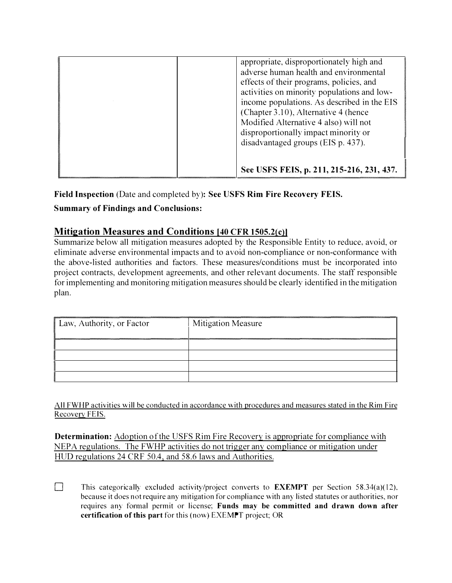| appropriate, disproportionately high and<br>adverse human health and environmental<br>effects of their programs, policies, and<br>activities on minority populations and low-<br>income populations. As described in the EIS<br>(Chapter 3.10), Alternative 4 (hence<br>Modified Alternative 4 also) will not<br>disproportionally impact minority or |
|-------------------------------------------------------------------------------------------------------------------------------------------------------------------------------------------------------------------------------------------------------------------------------------------------------------------------------------------------------|
| disadvantaged groups (EIS p. 437).<br>See USFS FEIS, p. 211, 215-216, 231, 437.                                                                                                                                                                                                                                                                       |

**Field Inspection (Date and completed by): See USFS Rim Fire Recovery FEIS.** 

# **Summary of Findings and Conclusions:**

# **Mitigation Measures and Conditions [40 CFR 1505.2{c)l**

**Summarize below all mitigation measures adopted by the Responsible Entity to reduce, avoid, or eliminate adverse environmental impacts and to avoid non-compliance or non-conformance with the above-listed authorities and factors. These measures/conditions must be incorporated into project contracts, development agreements, and other relevant documents. The staff responsible for implementing and monitoring mitigation measures should be clearly identified in the mitigation plan.** 

| Law, Authority, or Factor | <b>Mitigation Measure</b> |
|---------------------------|---------------------------|
|                           |                           |
|                           |                           |
|                           |                           |
|                           |                           |

**All FWHP activities will be conducted in accordance with procedures and measures stated in the Rim Fire Recovery FEIS.** 

**Determination: Adoption of the USFS Rim Fire Recovery is appropriate for compliance with NEPA regulations. The FWHP activities do not trigger any compliance or mitigation under HUD regulations 24 CRF 50.4, and 58.6 laws and Authorities.** 

This categorically excluded activity/project converts to **EXEMPT** per Section 58.34(a)(12), **because it does not require any mitigation for compliance with any listed statutes or authorities, nor**  requires any formal permit or license; Funds may be committed and drawn down after **certification of this part for this (now) EXEMPT project; OR**